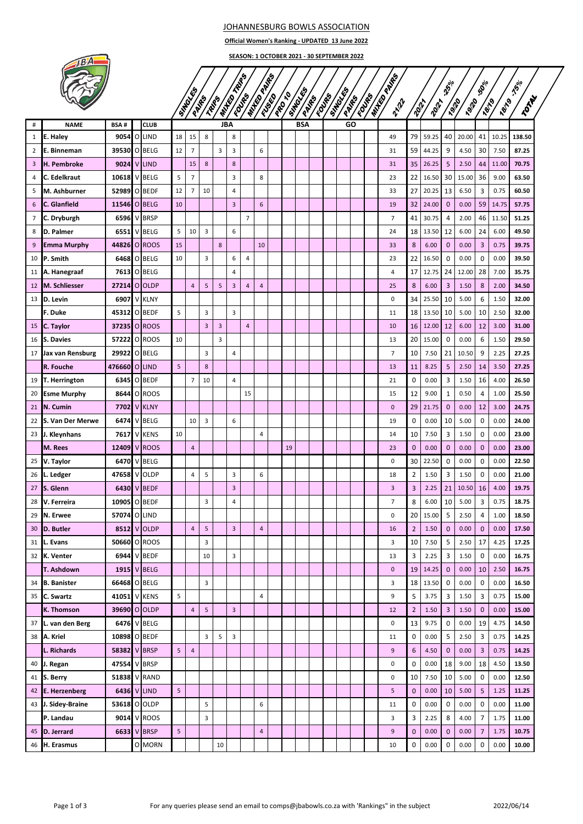## JOHANNESBURG BOWLS ASSOCIATION

**Official Women's Ranking - UPDATED 13 June 2022**

**SEASON: 1 OCTOBER 2021 - 30 SEPTEMBER 2022**

| ø |
|---|
|   |
|   |
|   |

|                |                     |               |                    |    |                   |       |               | TRIPS                   |                   |                |      |                 |               |                  |               |                             |                 |       | $\mathfrak{P}_{\mathfrak{d}^{\vert o \vert}}$ |              | $\mathfrak{H}^{\mathcal{O}/\mathfrak{o}}$ |              | <b>75%</b> |
|----------------|---------------------|---------------|--------------------|----|-------------------|-------|---------------|-------------------------|-------------------|----------------|------|-----------------|---------------|------------------|---------------|-----------------------------|-----------------|-------|-----------------------------------------------|--------------|-------------------------------------------|--------------|------------|
|                |                     |               |                    |    | SIMBURNS<br>PAIRS | TRIPS | <b>WANTED</b> | Four                    | <b>ANTIQUATES</b> | <b>SSSS</b>    | PROT | STROUTS<br>PANE | <b>EDITED</b> | Symbolic<br>PANE | <b>EDITED</b> | <b>ANTES PRESS</b><br>21/22 | 2012            | 2012  | <b>Pair</b>                                   | <b>P9120</b> | <b>PB19</b>                               | <b>Pel19</b> | TOTAL      |
|                |                     |               |                    |    |                   |       |               |                         |                   |                |      |                 |               |                  |               |                             |                 |       |                                               |              |                                           |              |            |
| $\#$           | <b>NAME</b>         | <b>BSA#</b>   | <b>CLUB</b>        |    |                   |       | <b>JBA</b>    |                         |                   |                |      | <b>BSA</b>      |               |                  | GO            |                             |                 |       |                                               |              |                                           |              |            |
| $\mathbf{1}$   | E. Haley            |               | 9054 O LIND        | 18 | 15                | 8     |               | 8                       |                   |                |      |                 |               |                  |               | 49                          | 79              | 59.25 | 40                                            | 20.00        | 41                                        | 10.25        | 138.50     |
| $\overline{2}$ | E. Binneman         | 39530 O BELG  |                    | 12 | $\overline{7}$    |       | 3             | 3                       |                   | 6              |      |                 |               |                  |               | 31                          | 59              | 44.25 | 9                                             | 4.50         | 30                                        | 7.50         | 87.25      |
| 3              | H. Pembroke         |               | 9024 V LIND        |    | 15                | 8     |               | 8                       |                   |                |      |                 |               |                  |               | 31                          | 35              | 26.25 | 5                                             | 2.50         | 44                                        | 11.00        | 70.75      |
| 4              | <b>C.</b> Edelkraut | 10618 V BELG  |                    | 5  | $\overline{7}$    |       |               | 3                       |                   | 8              |      |                 |               |                  |               | 23                          | 22              | 16.50 | 30                                            | 15.00        | 36                                        | 9.00         | 63.50      |
| 5              | M. Ashburner        | 52989 O BEDF  |                    | 12 | $\overline{7}$    | 10    |               | 4                       |                   |                |      |                 |               |                  |               | 33                          | 27              | 20.25 | 13                                            | 6.50         | 3                                         | 0.75         | 60.50      |
| 6              | C. Glanfield        | 11546         | O BELG             | 10 |                   |       |               | $\overline{\mathbf{3}}$ |                   | 6              |      |                 |               |                  |               | 19                          | 32              | 24.00 | $\mathbf{0}$                                  | 0.00         | 59                                        | 14.75        | 57.75      |
| $\overline{7}$ | C. Dryburgh         | 6596          | V BRSP             |    |                   |       |               |                         | $\overline{7}$    |                |      |                 |               |                  |               | 7                           | 41              | 30.75 | 4                                             | 2.00         | 46                                        | 11.50        | 51.25      |
| 8              | D. Palmer           | 6551          | V BELG             | 5  | 10                | 3     |               | 6                       |                   |                |      |                 |               |                  |               | 24                          | 18              | 13.50 | 12                                            | 6.00         | 24                                        | 6.00         | 49.50      |
| 9              | <b>Emma Murphy</b>  | 44826 OROOS   |                    | 15 |                   |       | $\bf 8$       |                         |                   | 10             |      |                 |               |                  |               | 33                          | 8               | 6.00  | $\mathbf{0}$                                  | 0.00         | 3                                         | 0.75         | 39.75      |
|                | 10 P. Smith         |               | 6468 O BELG        | 10 |                   | 3     |               | 6                       | $\overline{4}$    |                |      |                 |               |                  |               | 23                          | 22              | 16.50 | 0                                             | 0.00         | 0                                         | 0.00         | 39.50      |
|                | 11 A. Hanegraaf     |               | 7613 O BELG        |    |                   |       |               | $\overline{4}$          |                   |                |      |                 |               |                  |               | 4                           | 17              | 12.75 | 24                                            | 12.00        | 28                                        | 7.00         | 35.75      |
| 12             | M. Schliesser       | 27214 O OLDP  |                    |    | 4                 | 5     | 5             | 3                       | $\overline{4}$    | $\overline{4}$ |      |                 |               |                  |               | 25                          | 8               | 6.00  | 3                                             | 1.50         | 8                                         | 2.00         | 34.50      |
|                | 13 ID. Levin        | 6907          | V KLNY             |    |                   |       |               |                         |                   |                |      |                 |               |                  |               | 0                           | 34              | 25.50 | 10                                            | 5.00         | 6                                         | 1.50         | 32.00      |
|                | F. Duke             | 45312 O BEDF  |                    | 5  |                   | 3     |               | 3                       |                   |                |      |                 |               |                  |               | 11                          | 18              | 13.50 | 10                                            | 5.00         | 10                                        | 2.50         | 32.00      |
| 15             | <b>C.</b> Taylor    | 37235 OROOS   |                    |    |                   | 3     | 3             |                         | $\overline{4}$    |                |      |                 |               |                  |               | 10                          | 16              | 12.00 | 12                                            | 6.00         | 12                                        | 3.00         | 31.00      |
| 16             | S. Davies           | 57222 O ROOS  |                    | 10 |                   |       | 3             |                         |                   |                |      |                 |               |                  |               | 13                          | 20              | 15.00 | 0                                             | 0.00         | 6                                         | 1.50         | 29.50      |
|                | 17 Jax van Rensburg | 29922 O BELG  |                    |    |                   | 3     |               | 4                       |                   |                |      |                 |               |                  |               | 7                           | 10              | 7.50  | 21                                            | 10.50        | 9                                         | 2.25         | 27.25      |
|                | R. Fouche           | 476660 O LIND |                    | 5  |                   | 8     |               |                         |                   |                |      |                 |               |                  |               | 13                          | 11              | 8.25  | 5                                             | 2.50         | 14                                        | 3.50         | 27.25      |
| 19             | T. Herrington       | 63451         | O BEDF             |    | $\overline{7}$    | 10    |               | 4                       |                   |                |      |                 |               |                  |               | 21                          | 0               | 0.00  | 3                                             | 1.50         | 16                                        | 4.00         | 26.50      |
| 20             | <b>Esme Murphy</b>  |               | 8644 0 ROOS        |    |                   |       |               |                         | 15                |                |      |                 |               |                  |               | 15                          | 12              | 9.00  | 1                                             | 0.50         | 4                                         | 1.00         | 25.50      |
| 21             | N. Cumin            |               | <b>7702 V KLNY</b> |    |                   |       |               |                         |                   |                |      |                 |               |                  |               | $\mathbf 0$                 | 29              | 21.75 | $\mathbf 0$                                   | 0.00         | 12                                        | 3.00         | 24.75      |
| 22             | S. Van Der Merwe    | 6474          | V BELG             |    | 10                | 3     |               | 6                       |                   |                |      |                 |               |                  |               | 19                          | 0               | 0.00  | 10                                            | 5.00         | 0                                         | 0.00         | 24.00      |
| 23             | J. Kleynhans        | 7617          | V KENS             | 10 |                   |       |               |                         |                   | $\overline{4}$ |      |                 |               |                  |               | 14                          | 10              | 7.50  | 3                                             | 1.50         | 0                                         | 0.00         | 23.00      |
|                | M. Rees             | 12409 V ROOS  |                    |    | $\overline{4}$    |       |               |                         |                   |                | 19   |                 |               |                  |               | 23                          | $\mathbf{0}$    | 0.00  | $\mathbf 0$                                   | 0.00         | $\mathbf 0$                               | 0.00         | 23.00      |
| 25             | V. Taylor           | 6470          | V BELG             |    |                   |       |               |                         |                   |                |      |                 |               |                  |               | 0                           | 30              | 22.50 | 0                                             | 0.00         | 0                                         | 0.00         | 22.50      |
| 26             | L. Ledger           | 47658         | V OLDP             |    | 4                 | 5     |               | 3                       |                   | 6              |      |                 |               |                  |               | 18                          | 2               | 1.50  | 3                                             | 1.50         | 0                                         | 0.00         | 21.00      |
| 27             | <b>IS.</b> Glenn    |               | 6430 V BEDF        |    |                   |       |               | $\overline{\mathbf{3}}$ |                   |                |      |                 |               |                  |               | 3                           | 3               | 2.25  | 21                                            | 10.50        | 16                                        | 4.00         | 19.75      |
| 28             | V. Ferreira         | 10905 OBEDF   |                    |    |                   | 3     |               | 4                       |                   |                |      |                 |               |                  |               | 7                           | 8               | 6.00  | 10                                            | 5.00         | 3                                         | 0.75         | 18.75      |
|                | 29 N. Erwee         | 57074 O LIND  |                    |    |                   |       |               |                         |                   |                |      |                 |               |                  |               | 0                           | 20 <sub>1</sub> | 15.00 | 5                                             | 2.50         | 4                                         | 1.00         | 18.50      |
|                | 30 D. Butler        |               | 8512 V OLDP        |    | $\overline{4}$    | 5     |               | 3                       |                   | $\overline{4}$ |      |                 |               |                  |               | 16                          | $\overline{2}$  | 1.50  | $\mathbf{0}$                                  | 0.00         | $\mathbf{0}$                              | 0.00         | 17.50      |
|                | 31   L. Evans       |               | 50660 O ROOS       |    |                   | 3     |               |                         |                   |                |      |                 |               |                  |               | 3                           | 10              | 7.50  | 5                                             | 2.50         | 17                                        | 4.25         | 17.25      |
|                | 32 K. Venter        |               | 6944 V BEDF        |    |                   | 10    |               | 3                       |                   |                |      |                 |               |                  |               | 13                          | 3               | 2.25  | 3                                             | 1.50         | 0                                         | 0.00         | 16.75      |
|                | T. Ashdown          |               | 1915 V BELG        |    |                   |       |               |                         |                   |                |      |                 |               |                  |               | 0                           | 19              | 14.25 | $\mathbf 0$                                   | 0.00         | 10                                        | 2.50         | 16.75      |
|                | 34 B. Banister      | 66468 O BELG  |                    |    |                   | 3     |               |                         |                   |                |      |                 |               |                  |               | 3                           | 18              | 13.50 | 0                                             | 0.00         | 0                                         | 0.00         | 16.50      |
|                | 35 C. Swartz        | 41051 V KENS  |                    | 5  |                   |       |               |                         |                   | $\overline{4}$ |      |                 |               |                  |               | 9                           | 5               | 3.75  | 3                                             | 1.50         | 3                                         | 0.75         | 15.00      |
|                | K. Thomson          | 39690 O OLDP  |                    |    | $\overline{4}$    | 5     |               | $\overline{3}$          |                   |                |      |                 |               |                  |               | 12                          | $\overline{2}$  | 1.50  | 3                                             | 1.50         | 0                                         | 0.00         | 15.00      |
|                | 37 L. van den Berg  |               | 6476 V BELG        |    |                   |       |               |                         |                   |                |      |                 |               |                  |               | 0                           | 13              | 9.75  | 0                                             | 0.00         | 19                                        | 4.75         | 14.50      |
|                | 38 A. Kriel         | 10898 O BEDF  |                    |    |                   | 3     | 5             | 3                       |                   |                |      |                 |               |                  |               | 11                          | 0               | 0.00  | 5                                             | 2.50         | 3                                         | 0.75         | 14.25      |
|                | L. Richards         | 58382 V BRSP  |                    | 5  | $\overline{4}$    |       |               |                         |                   |                |      |                 |               |                  |               | 9                           | 6               | 4.50  | $\mathbf 0$                                   | 0.00         | 3                                         | 0.75         | 14.25      |
|                | 40 J. Regan         | 47554 V BRSP  |                    |    |                   |       |               |                         |                   |                |      |                 |               |                  |               | 0                           | 0               | 0.00  | 18                                            | 9.00         | 18                                        | 4.50         | 13.50      |
|                | 41 S. Berry         | 51838 V RAND  |                    |    |                   |       |               |                         |                   |                |      |                 |               |                  |               | 0                           | 10              | 7.50  | 10                                            | 5.00         | $\mathbf 0$                               | 0.00         | 12.50      |
|                | 42 E. Herzenberg    |               | 6436 V LIND        | 5  |                   |       |               |                         |                   |                |      |                 |               |                  |               | 5                           | $\mathbf 0$     | 0.00  | 10                                            | 5.00         | 5                                         | 1.25         | 11.25      |
|                | 43 J. Sidey-Braine  | 53618 O OLDP  |                    |    |                   | 5     |               |                         |                   | 6              |      |                 |               |                  |               | 11                          | 0               | 0.00  | 0                                             | 0.00         | 0                                         | 0.00         | 11.00      |
|                | P. Landau           |               | 9014 V ROOS        |    |                   | 3     |               |                         |                   |                |      |                 |               |                  |               | 3                           | 3               | 2.25  | 8                                             | 4.00         | 7                                         | 1.75         | 11.00      |
| 45             | D. Jerrard          |               | 6633 V BRSP        | 5  |                   |       |               |                         |                   | $\overline{4}$ |      |                 |               |                  |               | 9                           | $\mathbf 0$     | 0.00  | $\mathbf 0$                                   | 0.00         | $\overline{7}$                            | 1.75         | 10.75      |
|                | 46 H. Erasmus       |               | O MORN             |    |                   |       | 10            |                         |                   |                |      |                 |               |                  |               | 10                          | 0               | 0.00  | 0                                             | 0.00         | 0                                         | 0.00         | 10.00      |
|                |                     |               |                    |    |                   |       |               |                         |                   |                |      |                 |               |                  |               |                             |                 |       |                                               |              |                                           |              |            |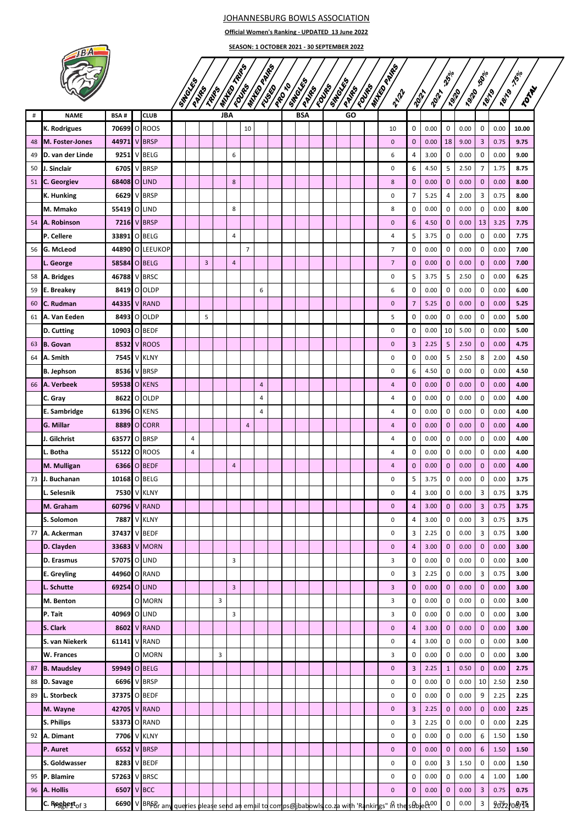## JOHANNESBURG BOWLS ASSOCIATION

**Official Women's Ranking - UPDATED 13 June 2022**

TON BY

|    |                        | SEASON: 1 OCTOBER 2021 - 30 SEPTEMBER 2022 |  |                |  |   |                |       |                         |                |                |              |               |               |            |                        |                       |                |                              |             |                                          |              |             |               |       |
|----|------------------------|--------------------------------------------|--|----------------|--|---|----------------|-------|-------------------------|----------------|----------------|--------------|---------------|---------------|------------|------------------------|-----------------------|----------------|------------------------------|-------------|------------------------------------------|--------------|-------------|---------------|-------|
|    |                        |                                            |  | <b>SIMBONS</b> |  |   | TRIPS          |       | <b>Maritimes</b>        |                |                | STROLES      |               | <b>STAGES</b> |            | <b>ANTICO DE RECIS</b> |                       |                | $\mathfrak{P}^{\circ/\circ}$ |             | $\mathfrak{H}^{\mathcal{O}/\mathcal{O}}$ |              | <b>75%</b>  |               |       |
|    |                        |                                            |  |                |  |   | PAIRS          | TRIPS | WANTED                  | <b>FOUR</b>    |                | <b>ISSED</b> | <b>PRO</b> 10 | PANE          | Foundation |                        | <b>Levela</b><br>PANE | 21/22          | <b>POIT</b>                  | <b>2012</b> | <b>Pair</b>                              | <b>P9120</b> | <b>7819</b> | <b>PBV 90</b> | Ĺ     |
| #  | <b>NAME</b>            | <b>BSA#</b>                                |  | <b>CLUB</b>    |  |   |                |       | <b>JBA</b>              |                |                |              |               | <b>BSA</b>    |            |                        | GO                    |                |                              |             |                                          |              |             |               |       |
|    | K. Rodrigues           | 70699 O ROOS                               |  |                |  |   |                |       |                         | 10             |                |              |               |               |            |                        |                       | 10             | 0                            | 0.00        | 0                                        | 0.00         | 0           | 0.00          | 10.00 |
| 48 | <b>M. Foster-Jones</b> | 44971                                      |  | <b>V</b> BRSP  |  |   |                |       |                         |                |                |              |               |               |            |                        |                       | $\mathbf 0$    | $\mathbf 0$                  | 0.00        | 18                                       | 9.00         | 3           | 0.75          | 9.75  |
| 49 | D. van der Linde       | 9251                                       |  | V BELG         |  |   |                |       | 6                       |                |                |              |               |               |            |                        |                       | 6              | 4                            | 3.00        | 0                                        | 0.00         | 0           | 0.00          | 9.00  |
| 50 | <b>J. Sinclair</b>     | 6705                                       |  | V BRSP         |  |   |                |       |                         |                |                |              |               |               |            |                        |                       | $\mathsf 0$    | 6                            | 4.50        | 5                                        | 2.50         | 7           | 1.75          | 8.75  |
|    | 51 C. Georgiev         | 68408 O LIND                               |  |                |  |   |                |       | 8                       |                |                |              |               |               |            |                        |                       | 8              | $\mathbf 0$                  | 0.00        | $\mathbf{0}$                             | 0.00         | $\mathbf 0$ | 0.00          | 8.00  |
|    | K. Hunking             | 6629                                       |  | V BRSP         |  |   |                |       |                         |                |                |              |               |               |            |                        |                       | 0              | 7                            | 5.25        | 4                                        | 2.00         | 3           | 0.75          | 8.00  |
|    | M. Mmako               | 55419                                      |  | O LIND         |  |   |                |       | 8                       |                |                |              |               |               |            |                        |                       | 8              | 0                            | 0.00        | 0                                        | 0.00         | 0           | 0.00          | 8.00  |
|    | 54 A. Robinson         | 7216                                       |  | V BRSP         |  |   |                |       |                         |                |                |              |               |               |            |                        |                       | $\mathbf 0$    | 6                            | 4.50        | $\mathbf 0$                              | 0.00         | 13          | 3.25          | 7.75  |
|    | P. Cellere             | 33891                                      |  | O BELG         |  |   |                |       | 4                       |                |                |              |               |               |            |                        |                       | $\overline{4}$ | 5                            | 3.75        | 0                                        | 0.00         | 0           | 0.00          | 7.75  |
| 56 | G. McLeod              | 44890                                      |  | O LEEUKOP      |  |   |                |       |                         | $\overline{7}$ |                |              |               |               |            |                        |                       | $\overline{7}$ | $\mathbf 0$                  | 0.00        | 0                                        | 0.00         | 0           | 0.00          | 7.00  |
|    | L. George              | 58584 O BELG                               |  |                |  |   | $\overline{3}$ |       | $\overline{\mathbf{4}}$ |                |                |              |               |               |            |                        |                       | $\overline{7}$ | $\mathbf 0$                  | 0.00        | $\mathbf{0}$                             | 0.00         | $\mathbf 0$ | 0.00          | 7.00  |
|    | 58 A. Bridges          | 46788                                      |  | V BRSC         |  |   |                |       |                         |                |                |              |               |               |            |                        |                       | 0              | 5                            | 3.75        | 5                                        | 2.50         | 0           | 0.00          | 6.25  |
| 59 | E. Breakey             | 8419                                       |  | O OLDP         |  |   |                |       |                         |                | 6              |              |               |               |            |                        |                       | 6              | 0                            | 0.00        | 0                                        | 0.00         | 0           | 0.00          | 6.00  |
| 60 | <b>IC. Rudman</b>      | 44335                                      |  | <b>V RAND</b>  |  |   |                |       |                         |                |                |              |               |               |            |                        |                       | $\mathbf 0$    | $\overline{7}$               | 5.25        | $\mathbf{0}$                             | 0.00         | 0           | 0.00          | 5.25  |
|    | 61 A. Van Eeden        | 8493                                       |  | O OLDP         |  |   | 5              |       |                         |                |                |              |               |               |            |                        |                       | 5              | 0                            | 0.00        | 0                                        | 0.00         | 0           | 0.00          | 5.00  |
|    | D. Cutting             | 10903                                      |  | O BEDF         |  |   |                |       |                         |                |                |              |               |               |            |                        |                       | 0              | 0                            | 0.00        | 10                                       | 5.00         | 0           | 0.00          | 5.00  |
| 63 | B. Govan               | 8532                                       |  | V ROOS         |  |   |                |       |                         |                |                |              |               |               |            |                        |                       | $\mathbf 0$    | 3                            | 2.25        | 5                                        | 2.50         | 0           | 0.00          | 4.75  |
|    | 64 A. Smith            | 7545                                       |  | V KLNY         |  |   |                |       |                         |                |                |              |               |               |            |                        |                       | 0              | 0                            | 0.00        | 5                                        | 2.50         | 8           | 2.00          | 4.50  |
|    | <b>B. Jephson</b>      | 8536                                       |  | V BRSP         |  |   |                |       |                         |                |                |              |               |               |            |                        |                       | 0              | 6                            | 4.50        | 0                                        | 0.00         | 0           | 0.00          | 4.50  |
| 66 | A. Verbeek             | 59538                                      |  | <b>O</b> KENS  |  |   |                |       |                         |                | $\overline{4}$ |              |               |               |            |                        |                       | $\overline{a}$ | $\mathbf 0$                  | 0.00        | $\mathbf{0}$                             | 0.00         | 0           | 0.00          | 4.00  |
|    | C. Gray                | 8622                                       |  | O OLDP         |  |   |                |       |                         |                | 4              |              |               |               |            |                        |                       | $\overline{4}$ | 0                            | 0.00        | 0                                        | 0.00         | 0           | 0.00          | 4.00  |
|    | <b>E.</b> Sambridge    | 61396                                      |  | O KENS         |  |   |                |       |                         |                | 4              |              |               |               |            |                        |                       | $\overline{4}$ | 0                            | 0.00        | 0                                        | 0.00         | 0           | 0.00          | 4.00  |
|    | G. Millar              | 8889                                       |  | O CORR         |  |   |                |       |                         | 4              |                |              |               |               |            |                        |                       | 4              | $\mathbf 0$                  | 0.00        | $\mathbf{0}$                             | 0.00         | 0           | 0.00          | 4.00  |
|    | J. Gilchrist           | 63577                                      |  | O BRSP         |  | 4 |                |       |                         |                |                |              |               |               |            |                        |                       | $\overline{4}$ | 0                            | 0.00        | 0                                        | 0.00         | 0           | 0.00          | 4.00  |
|    | L. Botha               | 55122                                      |  | O ROOS         |  | 4 |                |       |                         |                |                |              |               |               |            |                        |                       | $\overline{4}$ | 0                            | 0.00        | 0                                        | 0.00         | 0           | 0.00          | 4.00  |
|    | M. Mulligan            | 6366                                       |  | O BEDF         |  |   |                |       | $\overline{a}$          |                |                |              |               |               |            |                        |                       | 4              | $\overline{0}$               | 0.00        | $\mathbf{0}$                             | 0.00         | 0           | 0.00          | 4.00  |
|    | 73 J. Buchanan         | 10168 O BELG                               |  |                |  |   |                |       |                         |                |                |              |               |               |            |                        |                       | 0              | 5                            | 3.75        | $\Omega$                                 | 0.00         | 0           | 0.00          | 3.75  |
|    | L. Selesnik            | 7530 V KLNY                                |  |                |  |   |                |       |                         |                |                |              |               |               |            |                        |                       | $\mathbf 0$    | 4                            | 3.00        | $\mathbf 0$                              | 0.00         | 3           | 0.75          | 3.75  |
|    | M. Graham              | 60796 V RAND                               |  |                |  |   |                |       |                         |                |                |              |               |               |            |                        |                       | $\mathbf 0$    | $\overline{a}$               | 3.00        | $\mathbf{0}$                             | 0.00         | 3           | 0.75          | 3.75  |
|    | S. Solomon             | 7887                                       |  | V KLNY         |  |   |                |       |                         |                |                |              |               |               |            |                        |                       | 0              | 4                            | 3.00        | 0                                        | 0.00         | 3           | 0.75          | 3.75  |
|    | 77 A. Ackerman         | 37437 V BEDF                               |  |                |  |   |                |       |                         |                |                |              |               |               |            |                        |                       | 0              | 3                            | 2.25        | $\mathbf 0$                              | 0.00         | 3           | 0.75          | 3.00  |
|    | D. Clayden             | 33683 V MORN                               |  |                |  |   |                |       |                         |                |                |              |               |               |            |                        |                       | $\mathbf 0$    | $\overline{a}$               | 3.00        | $\mathbf{0}$                             | 0.00         | 0           | 0.00          | 3.00  |
|    | D. Erasmus             | 57075 O LIND                               |  |                |  |   |                |       | 3                       |                |                |              |               |               |            |                        |                       | 3              | 0                            | 0.00        | 0                                        | 0.00         | 0           | 0.00          | 3.00  |
|    | E. Greyling            | 44960 O RAND                               |  |                |  |   |                |       |                         |                |                |              |               |               |            |                        |                       | $\pmb{0}$      | 3                            | 2.25        | 0                                        | 0.00         | 3           | 0.75          | 3.00  |
|    | L. Schutte             | 69254 O LIND                               |  |                |  |   |                |       | $\overline{3}$          |                |                |              |               |               |            |                        |                       | 3              | $\mathbf 0$                  | 0.00        | $\mathbf{0}$                             | 0.00         | 0           | 0.00          | 3.00  |
|    | M. Benton              |                                            |  | O MORN         |  |   |                | 3     |                         |                |                |              |               |               |            |                        |                       | 3              | 0                            | 0.00        | 0                                        | 0.00         | 0           | 0.00          | 3.00  |
|    | P. Tait                | 40969 O LIND                               |  |                |  |   |                |       | 3                       |                |                |              |               |               |            |                        |                       | 3              | 0                            | 0.00        | $\mathbf 0$                              | 0.00         | 0           | 0.00          | 3.00  |
|    | S. Clark               | 8602 V RAND                                |  |                |  |   |                |       |                         |                |                |              |               |               |            |                        |                       | $\mathbf 0$    | $\overline{4}$               | 3.00        | $\mathbf{0}$                             | 0.00         | $\mathbf 0$ | 0.00          | 3.00  |
|    | S. van Niekerk         | 61141 V RAND                               |  |                |  |   |                |       |                         |                |                |              |               |               |            |                        |                       | 0              | 4                            | 3.00        | 0                                        | 0.00         | 0           | 0.00          | 3.00  |
|    | W. Frances             |                                            |  | O MORN         |  |   |                | 3     |                         |                |                |              |               |               |            |                        |                       | 3              | 0                            | 0.00        | 0                                        | 0.00         | 0           | 0.00          | 3.00  |
|    | 87 B. Maudsley         | 59949 O BELG                               |  |                |  |   |                |       |                         |                |                |              |               |               |            |                        |                       | $\mathbf 0$    | 3                            | 2.25        | $\mathbf{1}$                             | 0.50         | 0           | 0.00          | 2.75  |
|    | 88 D. Savage           | 6696 V BRSP                                |  |                |  |   |                |       |                         |                |                |              |               |               |            |                        |                       | 0              | 0                            | 0.00        | 0                                        | 0.00         | 10          | 2.50          | 2.50  |
| 89 | L. Storbeck            | 37375 O BEDF                               |  |                |  |   |                |       |                         |                |                |              |               |               |            |                        |                       | 0              | 0                            | 0.00        | 0                                        | 0.00         | 9           | 2.25          | 2.25  |
|    | M. Wayne               | 42705 V RAND                               |  |                |  |   |                |       |                         |                |                |              |               |               |            |                        |                       | $\pmb{0}$      | 3                            | 2.25        | $\mathbf{0}$                             | 0.00         | 0           | 0.00          | 2.25  |
|    | S. Philips             | 53373 O RAND                               |  |                |  |   |                |       |                         |                |                |              |               |               |            |                        |                       | $\pmb{0}$      | 3                            | 2.25        | $\mathbf 0$                              | 0.00         | 0           | 0.00          | 2.25  |
|    | 92 A. Dimant           | 7706 V KLNY                                |  |                |  |   |                |       |                         |                |                |              |               |               |            |                        |                       | 0              | 0                            | 0.00        | 0                                        | 0.00         | 6           | 1.50          | 1.50  |
|    | P. Auret               | 6552                                       |  | V BRSP         |  |   |                |       |                         |                |                |              |               |               |            |                        |                       | $\pmb{0}$      | $\mathbf 0$                  | 0.00        | $\mathbf 0$                              | 0.00         | 6           | 1.50          | 1.50  |
|    | S. Goldwasser          | 8283 V BEDF                                |  |                |  |   |                |       |                         |                |                |              |               |               |            |                        |                       | 0              | 0                            | 0.00        | 3                                        | 1.50         | 0           | 0.00          | 1.50  |
|    | 95 P. Blamire          | 57263 V BRSC                               |  |                |  |   |                |       |                         |                |                |              |               |               |            |                        |                       | $\mathbf 0$    | 0                            | 0.00        | 0                                        | 0.00         | 4           | 1.00          | 1.00  |
|    |                        |                                            |  |                |  |   |                |       |                         |                |                |              |               |               |            |                        |                       |                |                              |             |                                          |              |             |               |       |

96 **A. Hollis 6507** V BCC 0 0 0.00 0 0.00 3 0.75 **0.75 C. Roebert 6690** V BRSB any queries please send an email to comps@jbabowls.co.za with 'Rankings" in the subject <sup>00</sup> 0 <sup>0.00</sup> 2 96925 08/15